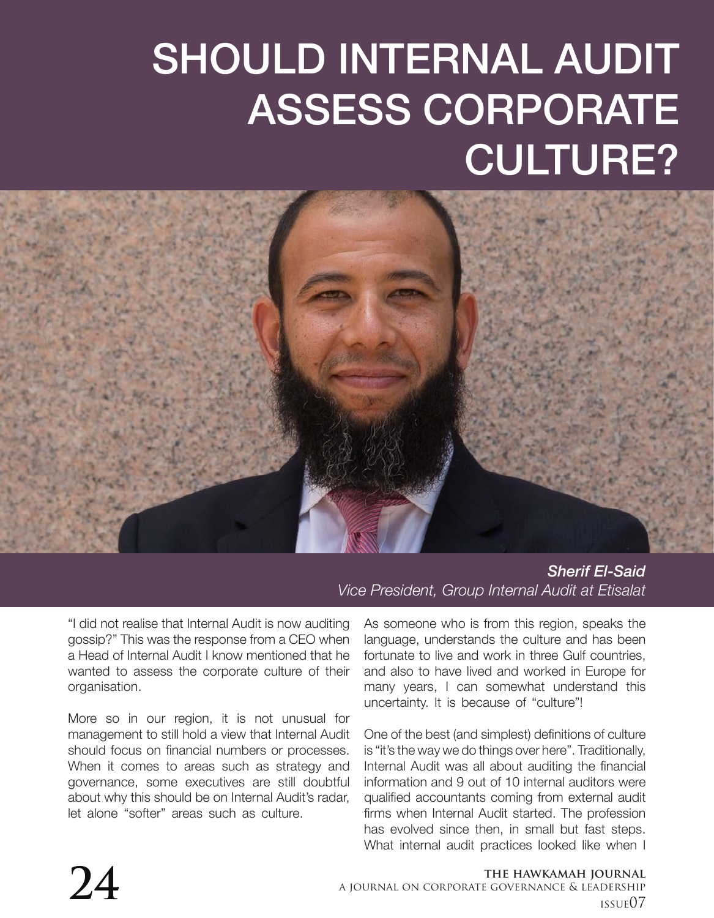## SHOULD INTERNAL AUDIT ASSESS CORPORATE CULTURE?



*Sherif El-Said Vice President, Group Internal Audit at Etisalat*

"I did not realise that Internal Audit is now auditing gossip?" This was the response from a CEO when a Head of Internal Audit I know mentioned that he wanted to assess the corporate culture of their organisation.

More so in our region, it is not unusual for management to still hold a view that Internal Audit should focus on financial numbers or processes. When it comes to areas such as strategy and governance, some executives are still doubtful about why this should be on Internal Audit's radar, let alone "softer" areas such as culture.

As someone who is from this region, speaks the language, understands the culture and has been fortunate to live and work in three Gulf countries, and also to have lived and worked in Europe for many years, I can somewhat understand this uncertainty. It is because of "culture"!

One of the best (and simplest) definitions of culture is "it's the way we do things over here". Traditionally, Internal Audit was all about auditing the financial information and 9 out of 10 internal auditors were qualified accountants coming from external audit firms when Internal Audit started. The profession has evolved since then, in small but fast steps. What internal audit practices looked like when I

## **the hawkamah journal**

**24 a** journal on corporate GOVERNANCE & LEADERSHIP **24 a** journal on corporate GOVERNANCE & LEADERSHIP issue07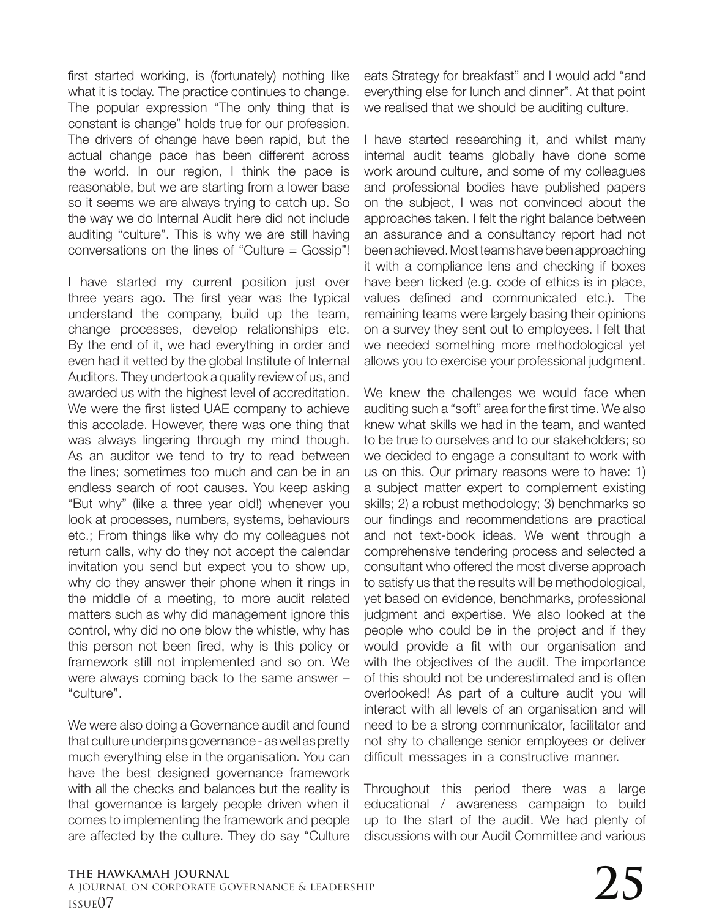first started working, is (fortunately) nothing like what it is today. The practice continues to change. The popular expression "The only thing that is constant is change" holds true for our profession. The drivers of change have been rapid, but the actual change pace has been different across the world. In our region, I think the pace is reasonable, but we are starting from a lower base so it seems we are always trying to catch up. So the way we do Internal Audit here did not include auditing "culture". This is why we are still having conversations on the lines of "Culture = Gossip"!

I have started my current position just over three years ago. The first year was the typical understand the company, build up the team, change processes, develop relationships etc. By the end of it, we had everything in order and even had it vetted by the global Institute of Internal Auditors. They undertook a quality review of us, and awarded us with the highest level of accreditation. We were the first listed UAE company to achieve this accolade. However, there was one thing that was always lingering through my mind though. As an auditor we tend to try to read between the lines; sometimes too much and can be in an endless search of root causes. You keep asking "But why" (like a three year old!) whenever you look at processes, numbers, systems, behaviours etc.; From things like why do my colleagues not return calls, why do they not accept the calendar invitation you send but expect you to show up, why do they answer their phone when it rings in the middle of a meeting, to more audit related matters such as why did management ignore this control, why did no one blow the whistle, why has this person not been fired, why is this policy or framework still not implemented and so on. We were always coming back to the same answer – "culture".

We were also doing a Governance audit and found that culture underpins governance - as well as pretty much everything else in the organisation. You can have the best designed governance framework with all the checks and balances but the reality is that governance is largely people driven when it comes to implementing the framework and people are affected by the culture. They do say "Culture eats Strategy for breakfast" and I would add "and everything else for lunch and dinner". At that point we realised that we should be auditing culture.

I have started researching it, and whilst many internal audit teams globally have done some work around culture, and some of my colleagues and professional bodies have published papers on the subject, I was not convinced about the approaches taken. I felt the right balance between an assurance and a consultancy report had not been achieved. Most teams have been approaching it with a compliance lens and checking if boxes have been ticked (e.g. code of ethics is in place, values defined and communicated etc.). The remaining teams were largely basing their opinions on a survey they sent out to employees. I felt that we needed something more methodological yet allows you to exercise your professional judgment.

We knew the challenges we would face when auditing such a "soft" area for the first time. We also knew what skills we had in the team, and wanted to be true to ourselves and to our stakeholders; so we decided to engage a consultant to work with us on this. Our primary reasons were to have: 1) a subject matter expert to complement existing skills; 2) a robust methodology; 3) benchmarks so our findings and recommendations are practical and not text-book ideas. We went through a comprehensive tendering process and selected a consultant who offered the most diverse approach to satisfy us that the results will be methodological, yet based on evidence, benchmarks, professional judgment and expertise. We also looked at the people who could be in the project and if they would provide a fit with our organisation and with the objectives of the audit. The importance of this should not be underestimated and is often overlooked! As part of a culture audit you will interact with all levels of an organisation and will need to be a strong communicator, facilitator and not shy to challenge senior employees or deliver difficult messages in a constructive manner.

Throughout this period there was a large educational / awareness campaign to build up to the start of the audit. We had plenty of discussions with our Audit Committee and various

## **the hawkamah journal** a journal on corporate governance & leadership the hawkamah journal<br>a journal on corporate governance & leadership<br>issue07  $\,$